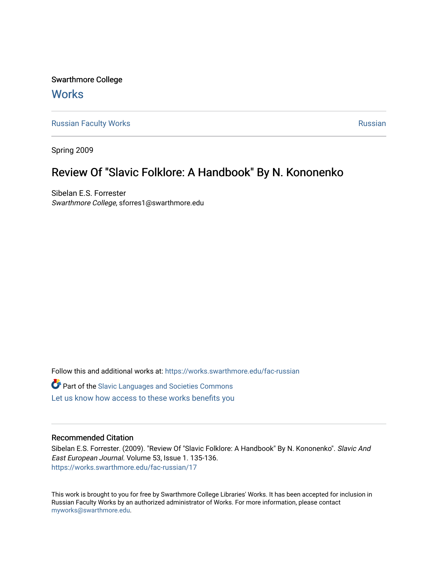Swarthmore College **Works** 

[Russian Faculty Works](https://works.swarthmore.edu/fac-russian) **Russian** [Russian](https://works.swarthmore.edu/russian) Russian Russian

Spring 2009

## Review Of "Slavic Folklore: A Handbook" By N. Kononenko

Sibelan E.S. Forrester Swarthmore College, sforres1@swarthmore.edu

Follow this and additional works at: [https://works.swarthmore.edu/fac-russian](https://works.swarthmore.edu/fac-russian?utm_source=works.swarthmore.edu%2Ffac-russian%2F17&utm_medium=PDF&utm_campaign=PDFCoverPages)  **C** Part of the Slavic Languages and Societies Commons [Let us know how access to these works benefits you](https://forms.gle/4MB8mE2GywC5965J8) 

## Recommended Citation

Sibelan E.S. Forrester. (2009). "Review Of "Slavic Folklore: A Handbook" By N. Kononenko". Slavic And East European Journal. Volume 53, Issue 1. 135-136. <https://works.swarthmore.edu/fac-russian/17>

This work is brought to you for free by Swarthmore College Libraries' Works. It has been accepted for inclusion in Russian Faculty Works by an authorized administrator of Works. For more information, please contact [myworks@swarthmore.edu.](mailto:myworks@swarthmore.edu)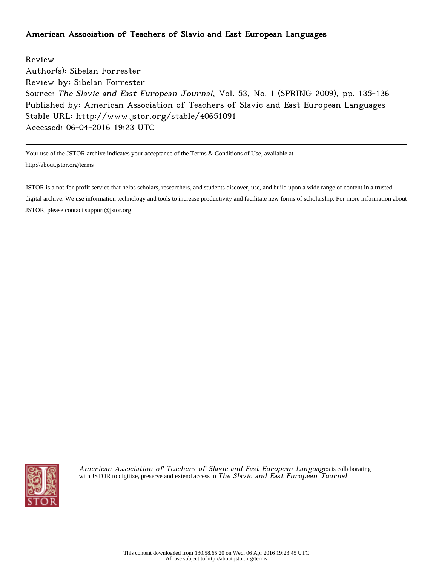Review Author(s): Sibelan Forrester Review by: Sibelan Forrester Source: The Slavic and East European Journal, Vol. 53, No. 1 (SPRING 2009), pp. 135-136 Published by: American Association of Teachers of Slavic and East European Languages Stable URL: http://www.jstor.org/stable/40651091 Accessed: 06-04-2016 19:23 UTC

Your use of the JSTOR archive indicates your acceptance of the Terms & Conditions of Use, available at http://about.jstor.org/terms

JSTOR is a not-for-profit service that helps scholars, researchers, and students discover, use, and build upon a wide range of content in a trusted digital archive. We use information technology and tools to increase productivity and facilitate new forms of scholarship. For more information about JSTOR, please contact support@jstor.org.



American Association of Teachers of Slavic and East European Languages is collaborating with JSTOR to digitize, preserve and extend access to The Slavic and East European Tournal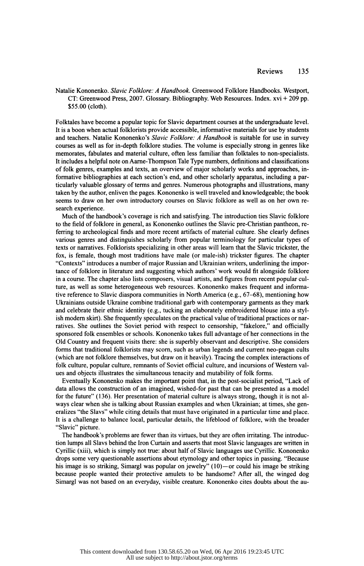Natalie Kononenko. Slavic Folklore: A Handbook. Greenwood Folklore Handbooks. Westport, CT: Greenwood Press, 2007. Glossary. Bibliography. Web Resources. Index, xvi + 209 pp. \$55.00 (cloth).

 Folktales have become a popular topic for Slavic department courses at the undergraduate level. It is a boon when actual folklorists provide accessible, informative materials for use by students and teachers. Natalie Kononenko's Slavic Folklore: A Handbook is suitable for use in survey courses as well as for in-depth folklore studies. The volume is especially strong in genres like memorates, fabulâtes and material culture, often less familiar than folktales to non-specialists. It includes a helpful note on Aarne-Thompson Tale Type numbers, definitions and classifications of folk genres, examples and texts, an overview of major scholarly works and approaches, in formative bibliographies at each section's end, and other scholarly apparatus, including a par ticularly valuable glossary of terms and genres. Numerous photographs and illustrations, many taken by the author, enliven the pages. Kononenko is well traveled and knowledgeable; the book seems to draw on her own introductory courses on Slavic folklore as well as on her own re search experience.

 Much of the handbook's coverage is rich and satisfying. The introduction ties Slavic folklore to the field of folklore in general, as Kononenko outlines the Slavic pre-Christian pantheon, re ferring to archeological finds and more recent artifacts of material culture. She clearly defines various genres and distinguishes scholarly from popular terminology for particular types of texts or narratives. Folklorists specializing in other areas will learn that the Slavic trickster, the fox, is female, though most traditions have male (or male-ish) trickster figures. The chapter "Contexts" introduces a number of major Russian and Ukrainian writers, underlining the impor tance of folklore in literature and suggesting which authors' work would fit alongside folklore in a course. The chapter also lists composers, visual artists, and figures from recent popular cul ture, as well as some heterogeneous web resources. Kononenko makes frequent and informa tive reference to Slavic diaspora communities in North America (e.g., 67-68), mentioning how Ukrainians outside Ukraine combine traditional garb with contemporary garments as they mark and celebrate their ethnic identity (e.g., tucking an elaborately embroidered blouse into a styl ish modern skirt). She frequently speculates on the practical value of traditional practices or nar ratives. She outlines the Soviet period with respect to censorship, "fakelore," and officially sponsored folk ensembles or schools. Kononenko takes full advantage of her connections in the Old Country and frequent visits there: she is superbly observant and descriptive. She considers forms that traditional folklorists may scorn, such as urban legends and current neo-pagan cults (which are not folklore themselves, but draw on it heavily). Tracing the complex interactions of folk culture, popular culture, remnants of Soviet official culture, and incursions of Western val ues and objects illustrates the simultaneous tenacity and mutability of folk forms.

 Eventually Kononenko makes the important point that, in the post-socialist period, "Lack of data allows the construction of an imagined, wished-for past that can be presented as a model for the future" (136). Her presentation of material culture is always strong, though it is not al ways clear when she is talking about Russian examples and when Ukrainian; at times, she gen eralizes "the Slavs" while citing details that must have originated in a particular time and place. It is a challenge to balance local, particular details, the lifeblood of folklore, with the broader "Slavic" picture.

 The handbook's problems are fewer than its virtues, but they are often irritating. The introduc tion lumps all Slavs behind the Iron Curtain and asserts that most Slavic languages are written in Cyrillic (xiii), which is simply not true: about half of Slavic languages use Cyrillic. Kononenko drops some very questionable assertions about etymology and other topics in passing. "Because his image is so striking, Simargl was popular on jewelry" (10)—or could his image be striking because people wanted their protective amulets to be handsome? After all, the winged dog Simargl was not based on an everyday, visible creature. Kononenko cites doubts about the au-